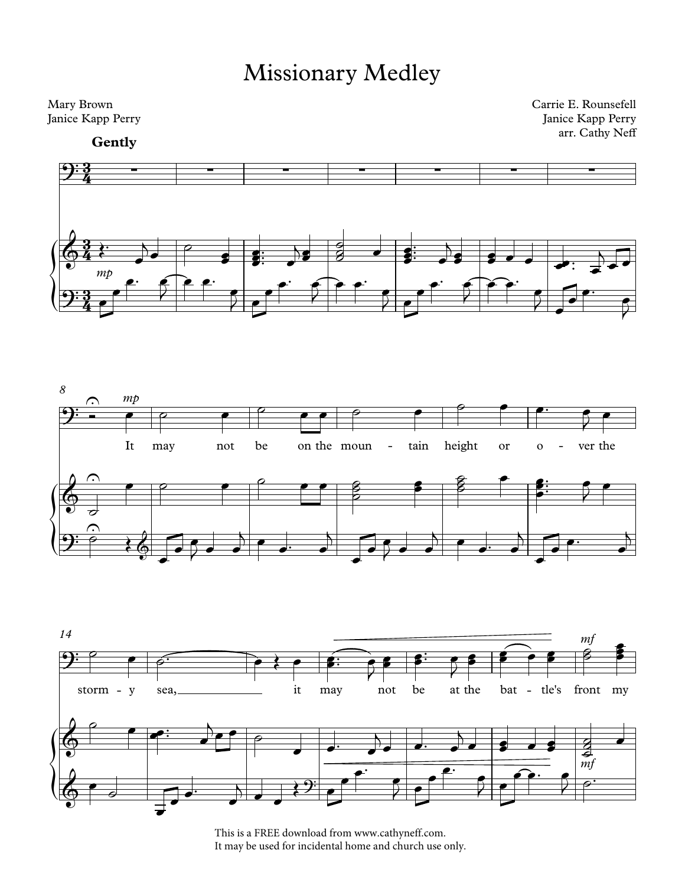## Missionary Medley



This is a FREE download from www.cathyneff.com. It may be used for incidental home and church use only.

 $\Theta^{\frac{1}{2}}$ 

 $\theta$ 

J œ

 $\mathcal{E}$ 

 $\begin{array}{c} \bullet \end{array}$ 

 $\overrightarrow{v}$  $\overline{\phantom{a}}$ 

<sup>œ</sup>™ <sup>œ</sup>

 $\frac{1}{2}$ 

 $\bullet$   $\overline{\phantom{a}}$  $\overrightarrow{o}$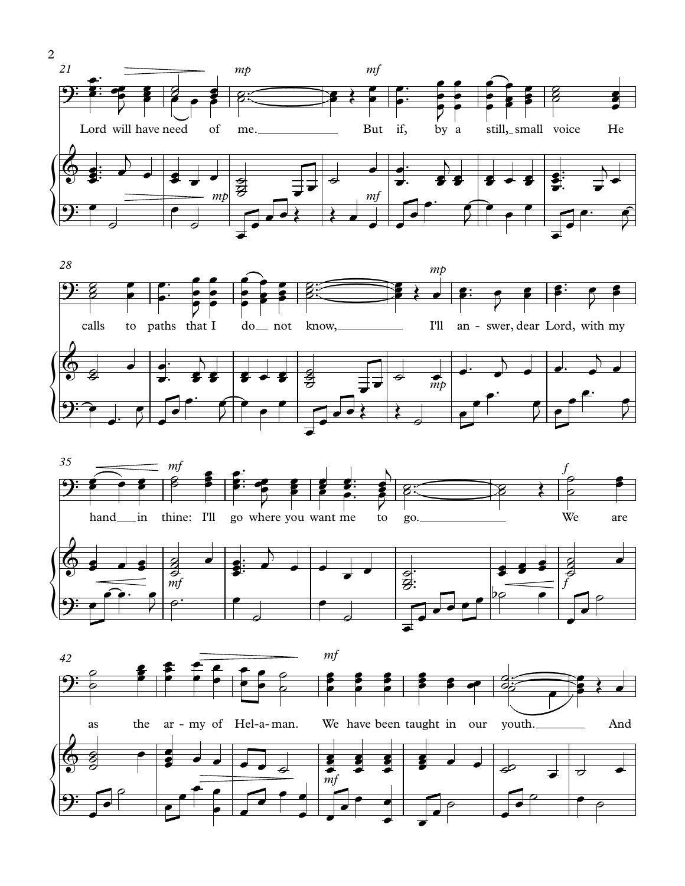





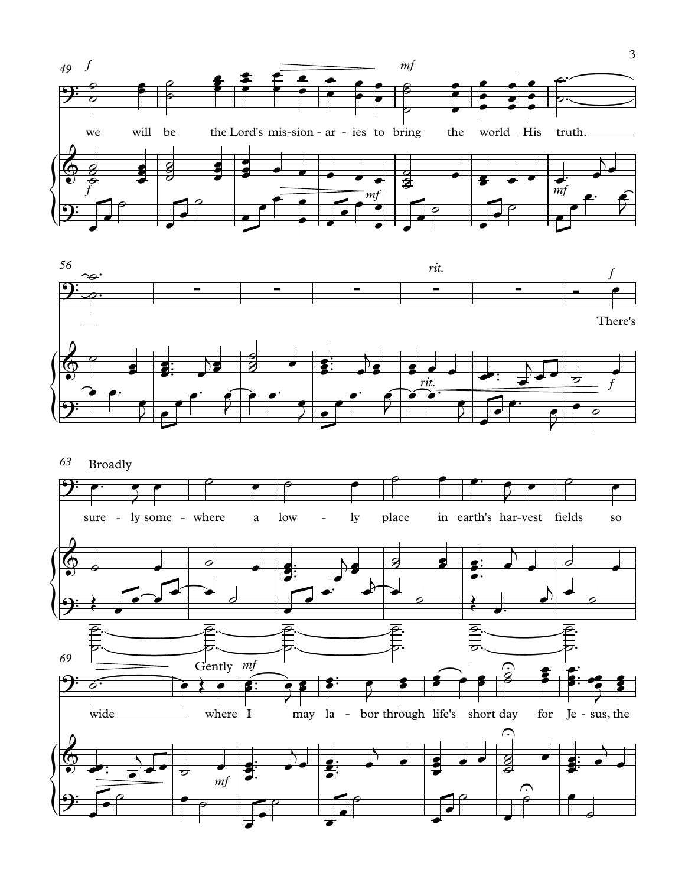